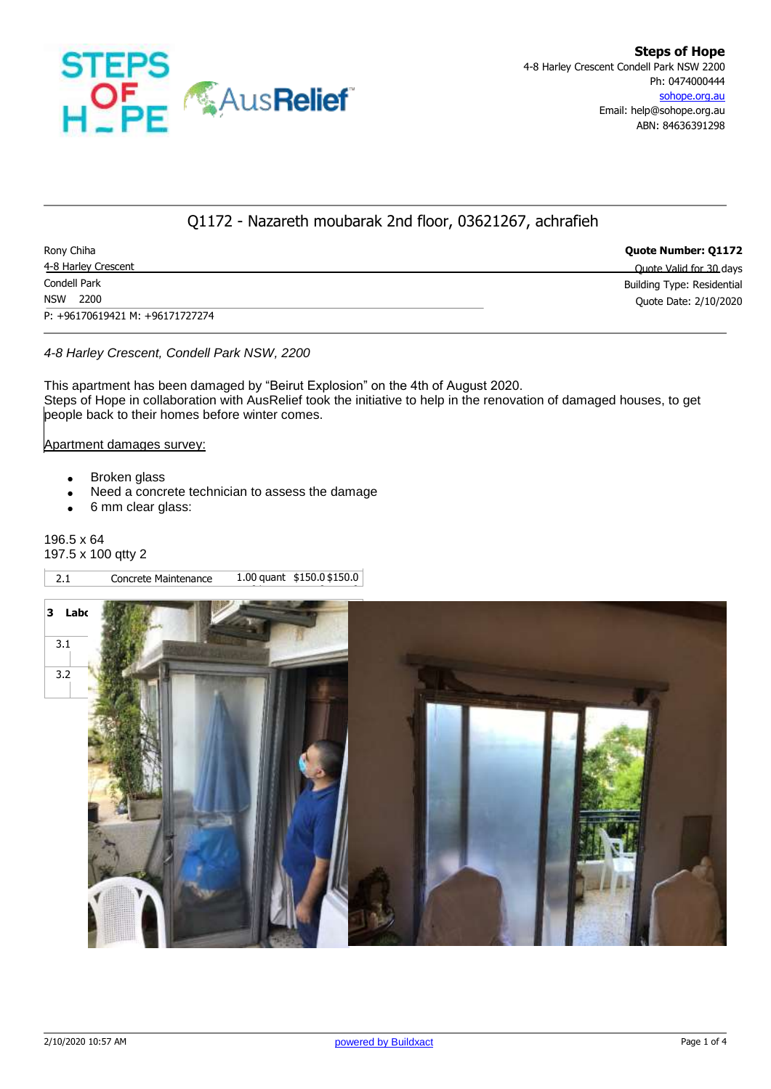

#### $\overline{\phantom{a}}$ Q1172 - Nazareth moubarak 2nd floor, 03621267, achrafieh

moubarak 2nd floor, Rony Chiha<br>4-8 Harley Crescent **Condell Park** NSW 2200 p: +96170619421 M: +96171727274 **Quote Number: Q1172** Quote Valid for 30 days Building Type: Residential Quote Date: 2/10/2020

1.0 Horlow Crossopt, Condell Dark NOW, 2200 NSW 2200 **Estimate**  *4-8 Harley Crescent, Condell Park NSW, 2200* **\$322.50**

 $\mathcal{A}=\mathcal{A}$  , and  $\mathcal{A}=\mathcal{A}$  are controlled with  $\mathcal{A}=\mathcal{A}$  . Then  $\mathcal{A}=\mathcal{A}$ 

This apartment has been damaged by "Beirut Explosion" on the 4th of August 2020. This apartment has been damaged by Bellut Explosion for the 4th of August 2020.<br>Steps of Hope in collaboration with AusRelief took the initiative to help in the renovation of damaged houses, to get people back to their homes before winter comes.

### Apartment damages survey:

- Broken glass
- Need a concrete technician to assess the damage
	- 6 mm clear glass:

#### **2 Materials \$150.00** 197.5 x 100 qtty 2 196.5 x 64



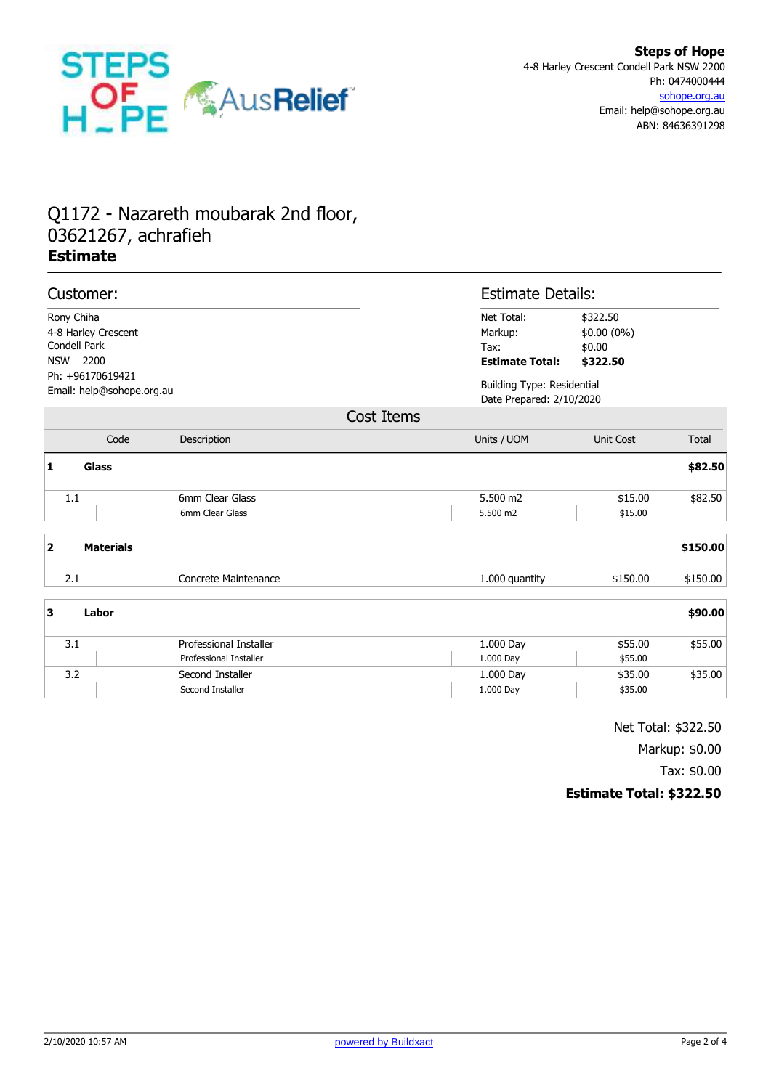

# Q1172 - Nazareth moubarak 2nd floor, 03621267, achrafieh **Estimate**

| Customer:                                                                                   |                                                  | <b>Estimate Details:</b>                                      |                                               |          |
|---------------------------------------------------------------------------------------------|--------------------------------------------------|---------------------------------------------------------------|-----------------------------------------------|----------|
| Rony Chiha<br>4-8 Harley Crescent<br>Condell Park<br>2200<br><b>NSW</b><br>Ph: +96170619421 |                                                  | Net Total:<br>Markup:<br>Tax:<br><b>Estimate Total:</b>       | \$322.50<br>\$0.00 (0%)<br>\$0.00<br>\$322.50 |          |
| Email: help@sohope.org.au                                                                   |                                                  | <b>Building Type: Residential</b><br>Date Prepared: 2/10/2020 |                                               |          |
| <b>Cost Items</b>                                                                           |                                                  |                                                               |                                               |          |
| Code                                                                                        | Description                                      | Units / UOM                                                   | Unit Cost                                     | Total    |
| 1<br>Glass                                                                                  |                                                  |                                                               |                                               | \$82.50  |
| 1.1                                                                                         | 6mm Clear Glass<br>6mm Clear Glass               | 5.500 m2<br>5.500 m2                                          | \$15.00<br>\$15.00                            | \$82.50  |
| $\overline{\mathbf{2}}$<br><b>Materials</b>                                                 |                                                  |                                                               |                                               | \$150.00 |
| 2.1                                                                                         | Concrete Maintenance                             | 1.000 quantity                                                | \$150.00                                      | \$150.00 |
| 3<br>Labor                                                                                  |                                                  |                                                               |                                               | \$90.00  |
| 3.1                                                                                         | Professional Installer<br>Professional Installer | 1.000 Day<br>1.000 Day                                        | \$55.00<br>\$55.00                            | \$55.00  |
| 3.2                                                                                         | Second Installer<br>Second Installer             | 1.000 Day<br>1.000 Day                                        | \$35.00<br>\$35.00                            | \$35.00  |

Net Total: \$322.50

Markup: \$0.00

Tax: \$0.00

### **Estimate Total: \$322.50**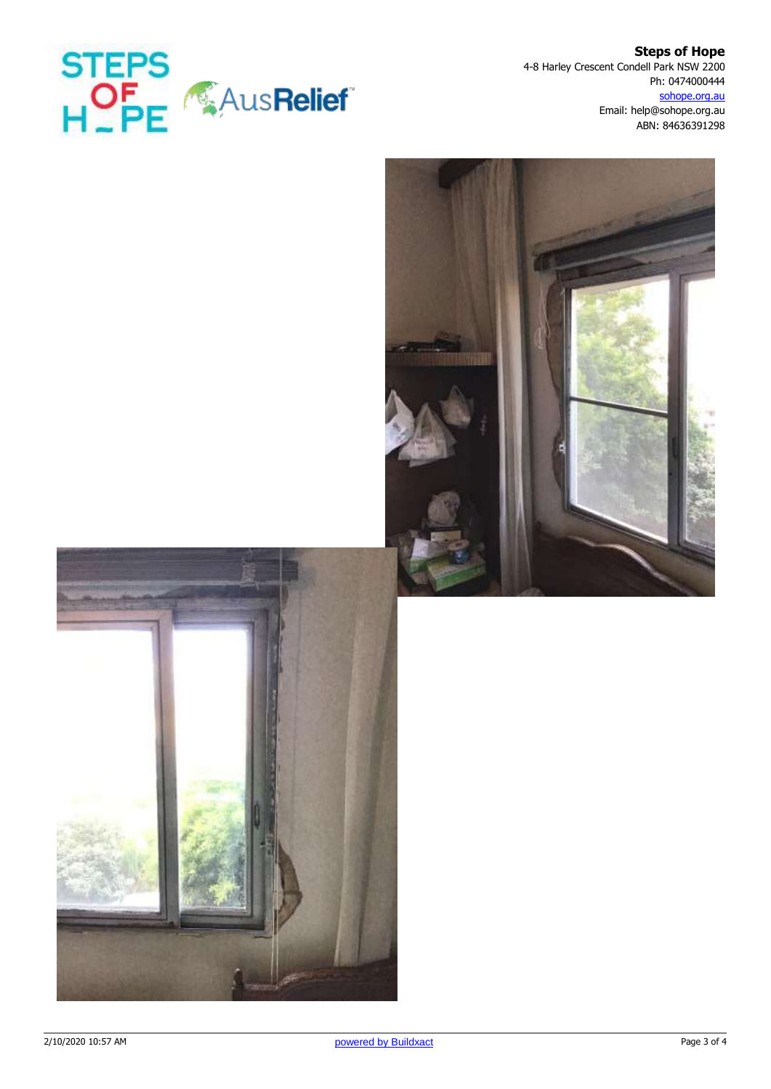

**Steps of Hope** 4-8 Harley Crescent Condell Park NSW 2200 Ph: 0474000444 sohope.org.au Email: help@sohope.org.au ABN: 84636391298



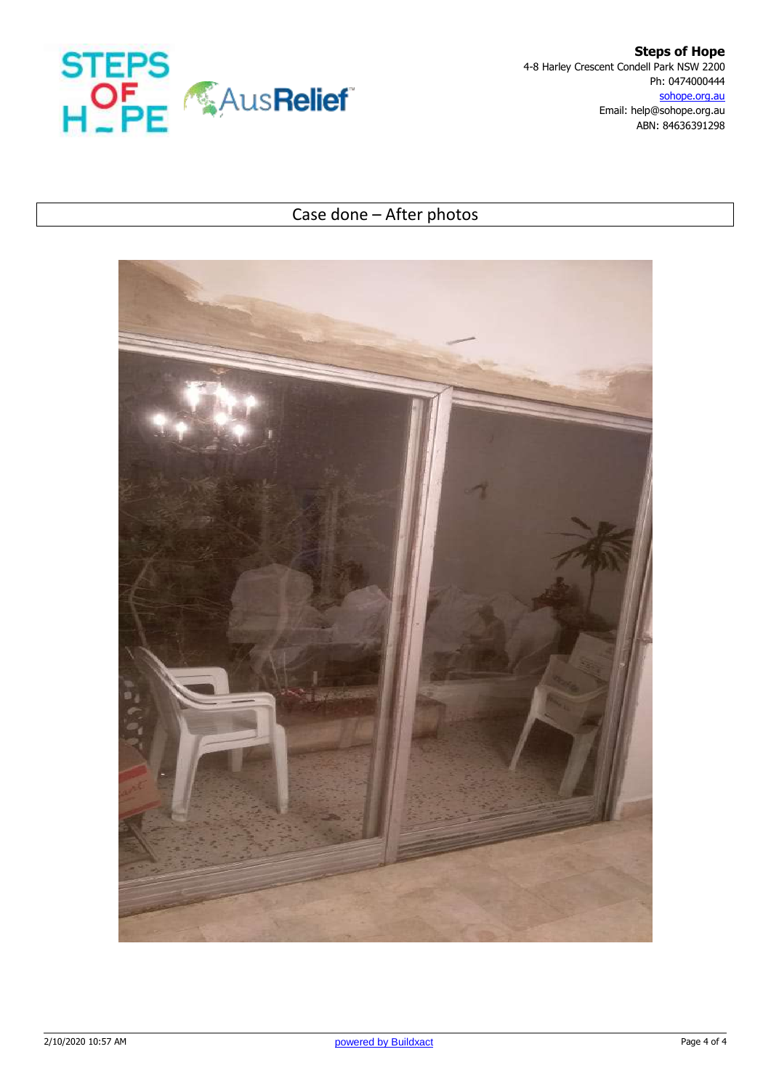

**Steps of Hope** 4-8 Harley Crescent Condell Park NSW 2200 Ph: 0474000444 sohope.org.au Email: help@sohope.org.au ABN: 84636391298

## Case done – After photos